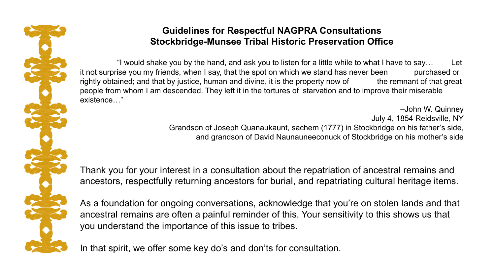

## **Guidelines for Respectful NAGPRA Consultations Stockbridge-Munsee Tribal Historic Preservation Office**

"I would shake you by the hand, and ask you to listen for a little while to what I have to say… Let it not surprise you my friends, when I say, that the spot on which we stand has never been purchased or rightly obtained; and that by justice, human and divine, it is the property now of the remnant of that great people from whom I am descended. They left it in the tortures of starvation and to improve their miserable existence…"

> –John W. Quinney July 4, 1854 Reidsville, NY Grandson of Joseph Quanaukaunt, sachem (1777) in Stockbridge on his father's side, and grandson of David Naunauneeconuck of Stockbridge on his mother's side

Thank you for your interest in a consultation about the repatriation of ancestral remains and ancestors, respectfully returning ancestors for burial, and repatriating cultural heritage items.

As a foundation for ongoing conversations, acknowledge that you're on stolen lands and that ancestral remains are often a painful reminder of this. Your sensitivity to this shows us that you understand the importance of this issue to tribes.

In that spirit, we offer some key do's and don'ts for consultation.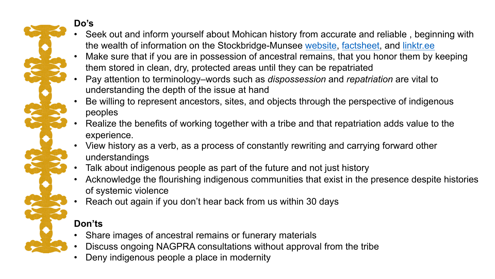

## **Do's**

- Seek out and inform yourself about Mohican history from accurate and reliable , beginning with the wealth of information on the Stockbridge-Munsee [website,](https://www.mohican.com/) [factsheet,](https://www.mohican.com/mt-content/uploads/2021/10/smc_infosheet.pdf) and linktr.ee
- Make sure that if you are in possession of ancestral remains, that you honor them by keeping them stored in clean, dry, protected areas until they can be repatriated
- Pay attention to terminology–words such as *dispossession* and *repatriation* are vital to understanding the depth of the issue at hand
- Be willing to represent ancestors, sites, and objects through the perspective of indigenous peoples
- Realize the benefits of working together with a tribe and that repatriation adds value to the experience.
- View history as a verb, as a process of constantly rewriting and carrying forward other understandings
- Talk about indigenous people as part of the future and not just history
- Acknowledge the flourishing indigenous communities that exist in the presence despite histories of systemic violence
- Reach out again if you don't hear back from us within 30 days

## **Don'ts**

- Share images of ancestral remains or funerary materials
- Discuss ongoing NAGPRA consultations without approval from the tribe
- Deny indigenous people a place in modernity